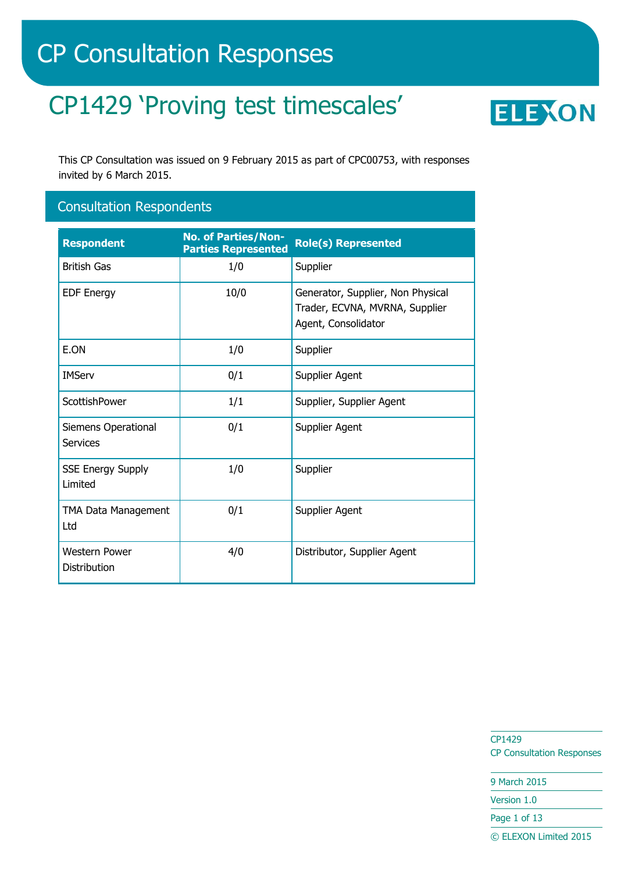# CP Consultation Responses

# CP1429 'Proving test timescales'



This CP Consultation was issued on 9 February 2015 as part of CPC00753, with responses invited by 6 March 2015.

## Consultation Respondents

| <b>Respondent</b>                    | <b>No. of Parties/Non-</b><br><b>Parties Represented</b> | <b>Role(s) Represented</b>                                                                 |
|--------------------------------------|----------------------------------------------------------|--------------------------------------------------------------------------------------------|
| <b>British Gas</b>                   | 1/0                                                      | Supplier                                                                                   |
| <b>EDF Energy</b>                    | 10/0                                                     | Generator, Supplier, Non Physical<br>Trader, ECVNA, MVRNA, Supplier<br>Agent, Consolidator |
| E.ON                                 | 1/0                                                      | Supplier                                                                                   |
| <b>IMServ</b>                        | 0/1                                                      | Supplier Agent                                                                             |
| ScottishPower                        | 1/1                                                      | Supplier, Supplier Agent                                                                   |
| Siemens Operational<br>Services      | 0/1                                                      | Supplier Agent                                                                             |
| <b>SSE Energy Supply</b><br>Limited  | 1/0                                                      | Supplier                                                                                   |
| TMA Data Management<br>Ltd           | 0/1                                                      | Supplier Agent                                                                             |
| <b>Western Power</b><br>Distribution | 4/0                                                      | Distributor, Supplier Agent                                                                |

CP1429 CP Consultation Responses

9 March 2015

Version 1.0

Page 1 of 13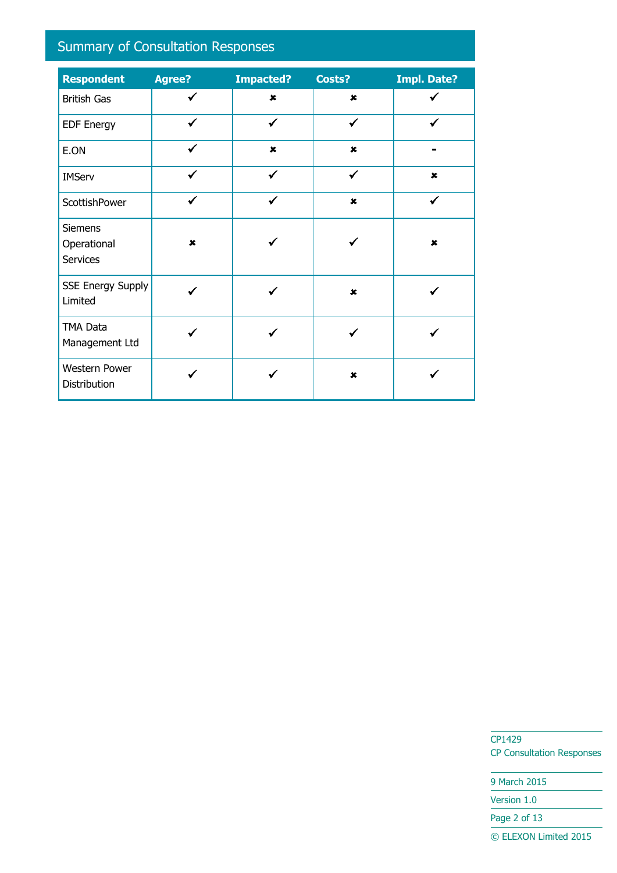# Summary of Consultation Responses

| <b>Respondent</b>                                | Agree?         | <b>Impacted?</b> | Costs?         | <b>Impl. Date?</b> |
|--------------------------------------------------|----------------|------------------|----------------|--------------------|
| <b>British Gas</b>                               | ✓              | $\pmb{\times}$   | $\pmb{\times}$ |                    |
| <b>EDF Energy</b>                                | $\checkmark$   | $\checkmark$     | $\checkmark$   | ✓                  |
| E.ON                                             | $\checkmark$   | $\pmb{\times}$   | $\pmb{\times}$ |                    |
| <b>IMServ</b>                                    | ✓              | ✓                | ✓              | $\pmb{\times}$     |
| ScottishPower                                    | $\checkmark$   | ✓                | $\pmb{\times}$ | ✓                  |
| <b>Siemens</b><br>Operational<br><b>Services</b> | $\pmb{\times}$ |                  |                | $\pmb{\times}$     |
| <b>SSE Energy Supply</b><br>Limited              |                |                  | $\pmb{\times}$ |                    |
| <b>TMA Data</b><br>Management Ltd                |                |                  |                |                    |
| Western Power<br>Distribution                    |                |                  | $\mathbf x$    |                    |

CP1429 CP Consultation Responses

9 March 2015

Version 1.0

Page 2 of 13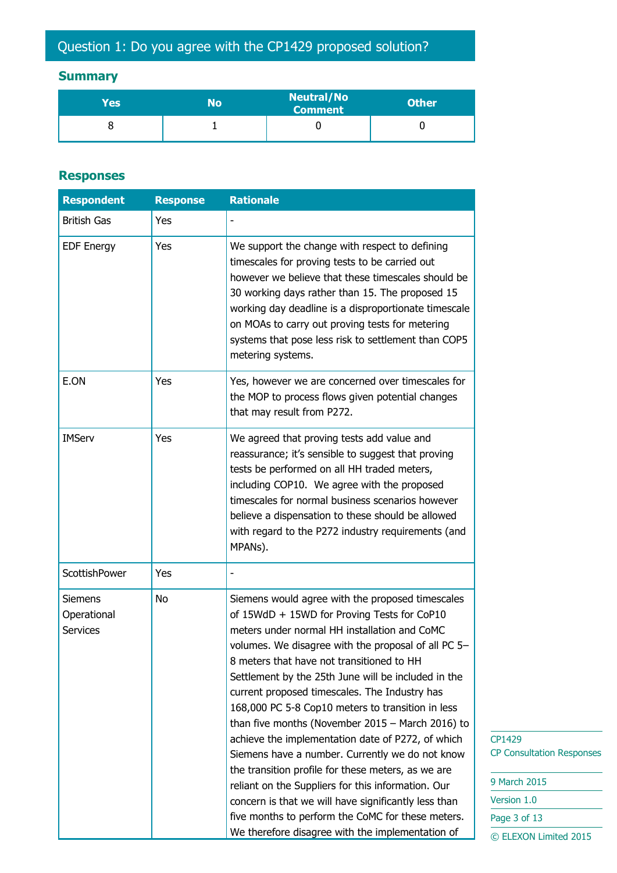## **Summary**

| Yes | No | <b>Neutral/No</b><br><b>Comment</b> | <b>Other</b> |
|-----|----|-------------------------------------|--------------|
|     |    |                                     |              |

#### **Responses**

| <b>Respondent</b>                                | <b>Response</b> | <b>Rationale</b>                                                                                                                                                                                                                                                                                                                                                                                                                                                                                                                                                                                                                                                                                                                                                                                                                                            |
|--------------------------------------------------|-----------------|-------------------------------------------------------------------------------------------------------------------------------------------------------------------------------------------------------------------------------------------------------------------------------------------------------------------------------------------------------------------------------------------------------------------------------------------------------------------------------------------------------------------------------------------------------------------------------------------------------------------------------------------------------------------------------------------------------------------------------------------------------------------------------------------------------------------------------------------------------------|
| <b>British Gas</b>                               | Yes             |                                                                                                                                                                                                                                                                                                                                                                                                                                                                                                                                                                                                                                                                                                                                                                                                                                                             |
| <b>EDF Energy</b>                                | Yes             | We support the change with respect to defining<br>timescales for proving tests to be carried out<br>however we believe that these timescales should be<br>30 working days rather than 15. The proposed 15<br>working day deadline is a disproportionate timescale<br>on MOAs to carry out proving tests for metering<br>systems that pose less risk to settlement than COP5<br>metering systems.                                                                                                                                                                                                                                                                                                                                                                                                                                                            |
| E.ON                                             | Yes             | Yes, however we are concerned over timescales for<br>the MOP to process flows given potential changes<br>that may result from P272.                                                                                                                                                                                                                                                                                                                                                                                                                                                                                                                                                                                                                                                                                                                         |
| <b>IMServ</b>                                    | Yes             | We agreed that proving tests add value and<br>reassurance; it's sensible to suggest that proving<br>tests be performed on all HH traded meters,<br>including COP10. We agree with the proposed<br>timescales for normal business scenarios however<br>believe a dispensation to these should be allowed<br>with regard to the P272 industry requirements (and<br>MPANs).                                                                                                                                                                                                                                                                                                                                                                                                                                                                                    |
| <b>ScottishPower</b>                             | Yes             |                                                                                                                                                                                                                                                                                                                                                                                                                                                                                                                                                                                                                                                                                                                                                                                                                                                             |
| <b>Siemens</b><br>Operational<br><b>Services</b> | No              | Siemens would agree with the proposed timescales<br>of 15WdD + 15WD for Proving Tests for CoP10<br>meters under normal HH installation and CoMC<br>volumes. We disagree with the proposal of all PC 5-<br>8 meters that have not transitioned to HH<br>Settlement by the 25th June will be included in the<br>current proposed timescales. The Industry has<br>168,000 PC 5-8 Cop10 meters to transition in less<br>than five months (November $2015 -$ March 2016) to<br>achieve the implementation date of P272, of which<br>Siemens have a number. Currently we do not know<br>the transition profile for these meters, as we are<br>reliant on the Suppliers for this information. Our<br>concern is that we will have significantly less than<br>five months to perform the CoMC for these meters.<br>We therefore disagree with the implementation of |

CP1429 CP Consultation Responses

| 9 March 2015          |
|-----------------------|
| Version 1.0           |
| Page 3 of 13          |
| © ELEXON Limited 2015 |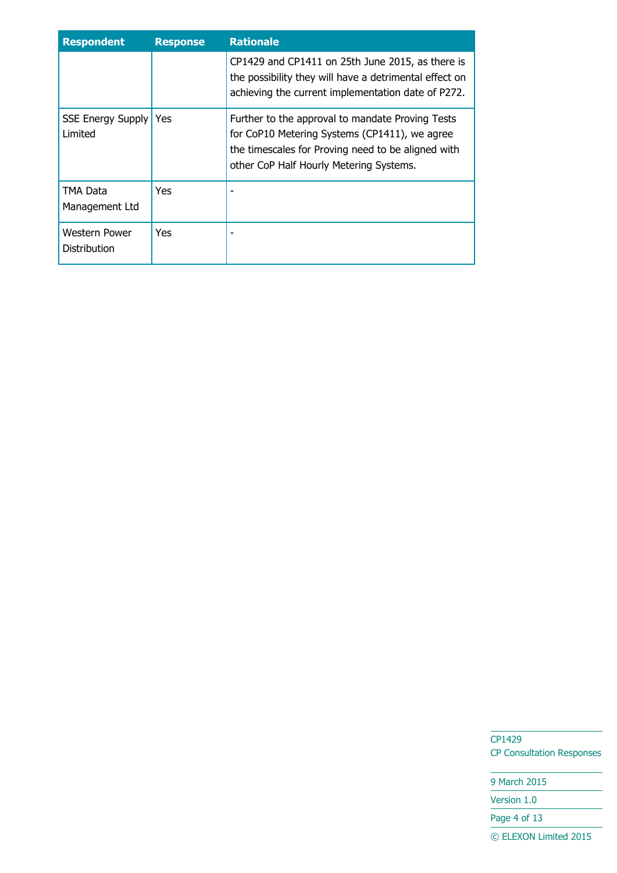| <b>Respondent</b>                    | <b>Response</b> | <b>Rationale</b>                                                                                                                                                                                   |
|--------------------------------------|-----------------|----------------------------------------------------------------------------------------------------------------------------------------------------------------------------------------------------|
|                                      |                 | CP1429 and CP1411 on 25th June 2015, as there is<br>the possibility they will have a detrimental effect on<br>achieving the current implementation date of P272.                                   |
| <b>SSE Energy Supply</b><br>Limited  | Yes.            | Further to the approval to mandate Proving Tests<br>for CoP10 Metering Systems (CP1411), we agree<br>the timescales for Proving need to be aligned with<br>other CoP Half Hourly Metering Systems. |
| TMA Data<br>Management Ltd           | Yes             |                                                                                                                                                                                                    |
| Western Power<br><b>Distribution</b> | Yes             |                                                                                                                                                                                                    |

9 March 2015

Version 1.0

Page 4 of 13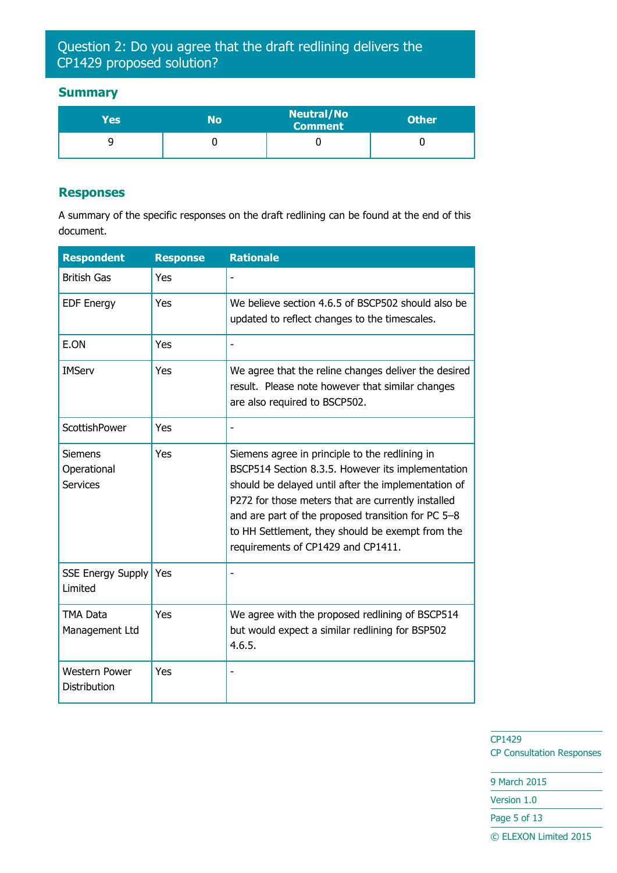### Question 2: Do you agree that the draft redlining delivers the CP1429 proposed solution?

#### **Summary**

| Yes' | N٥ | <b>Neutral/No</b><br><b>Comment</b> | <b>Other</b> |
|------|----|-------------------------------------|--------------|
|      |    |                                     |              |

#### **Responses**

A summary of the specific responses on the draft redlining can be found at the end of this document.

| <b>Respondent</b>                                | <b>Response</b> | <b>Rationale</b>                                                                                                                                                                                                                                                                                                                                                 |
|--------------------------------------------------|-----------------|------------------------------------------------------------------------------------------------------------------------------------------------------------------------------------------------------------------------------------------------------------------------------------------------------------------------------------------------------------------|
| <b>British Gas</b>                               | Yes             |                                                                                                                                                                                                                                                                                                                                                                  |
| <b>EDF Energy</b>                                | Yes             | We believe section 4.6.5 of BSCP502 should also be<br>updated to reflect changes to the timescales.                                                                                                                                                                                                                                                              |
| E.ON                                             | Yes             |                                                                                                                                                                                                                                                                                                                                                                  |
| <b>IMServ</b>                                    | Yes             | We agree that the reline changes deliver the desired<br>result. Please note however that similar changes<br>are also required to BSCP502.                                                                                                                                                                                                                        |
| ScottishPower                                    | Yes             |                                                                                                                                                                                                                                                                                                                                                                  |
| <b>Siemens</b><br>Operational<br><b>Services</b> | Yes             | Siemens agree in principle to the redlining in<br>BSCP514 Section 8.3.5. However its implementation<br>should be delayed until after the implementation of<br>P272 for those meters that are currently installed<br>and are part of the proposed transition for PC 5-8<br>to HH Settlement, they should be exempt from the<br>requirements of CP1429 and CP1411. |
| <b>SSE Energy Supply</b><br>Limited              | Yes             |                                                                                                                                                                                                                                                                                                                                                                  |
| <b>TMA Data</b><br>Management Ltd                | Yes             | We agree with the proposed redlining of BSCP514<br>but would expect a similar redlining for BSP502<br>4.6.5.                                                                                                                                                                                                                                                     |
| <b>Western Power</b><br><b>Distribution</b>      | Yes             | $\overline{a}$                                                                                                                                                                                                                                                                                                                                                   |

CP1429 CP Consultation Responses

9 March 2015 Version 1.0 Page 5 of 13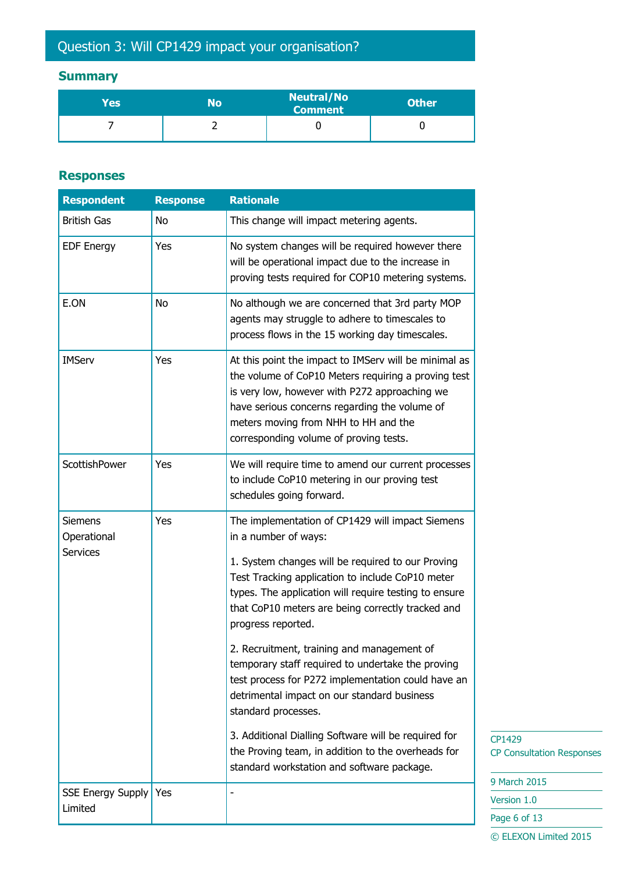# Question 3: Will CP1429 impact your organisation?

## **Summary**

| Yes | No | <b>Neutral/No</b><br><b>Comment</b> | <b>Other</b> |
|-----|----|-------------------------------------|--------------|
|     |    |                                     |              |

#### **Responses**

| <b>Respondent</b>                                | <b>Response</b> | <b>Rationale</b>                                                                                                                                                                                                                                                                                                                                                                                                                                                                                                                                                                                                                                                                                                 |
|--------------------------------------------------|-----------------|------------------------------------------------------------------------------------------------------------------------------------------------------------------------------------------------------------------------------------------------------------------------------------------------------------------------------------------------------------------------------------------------------------------------------------------------------------------------------------------------------------------------------------------------------------------------------------------------------------------------------------------------------------------------------------------------------------------|
| <b>British Gas</b>                               | No              | This change will impact metering agents.                                                                                                                                                                                                                                                                                                                                                                                                                                                                                                                                                                                                                                                                         |
| <b>EDF Energy</b>                                | Yes             | No system changes will be required however there<br>will be operational impact due to the increase in<br>proving tests required for COP10 metering systems.                                                                                                                                                                                                                                                                                                                                                                                                                                                                                                                                                      |
| E.ON                                             | No              | No although we are concerned that 3rd party MOP<br>agents may struggle to adhere to timescales to<br>process flows in the 15 working day timescales.                                                                                                                                                                                                                                                                                                                                                                                                                                                                                                                                                             |
| <b>IMServ</b>                                    | Yes             | At this point the impact to IMServ will be minimal as<br>the volume of CoP10 Meters requiring a proving test<br>is very low, however with P272 approaching we<br>have serious concerns regarding the volume of<br>meters moving from NHH to HH and the<br>corresponding volume of proving tests.                                                                                                                                                                                                                                                                                                                                                                                                                 |
| <b>ScottishPower</b>                             | Yes             | We will require time to amend our current processes<br>to include CoP10 metering in our proving test<br>schedules going forward.                                                                                                                                                                                                                                                                                                                                                                                                                                                                                                                                                                                 |
| <b>Siemens</b><br>Operational<br><b>Services</b> | Yes             | The implementation of CP1429 will impact Siemens<br>in a number of ways:<br>1. System changes will be required to our Proving<br>Test Tracking application to include CoP10 meter<br>types. The application will require testing to ensure<br>that CoP10 meters are being correctly tracked and<br>progress reported.<br>2. Recruitment, training and management of<br>temporary staff required to undertake the proving<br>test process for P272 implementation could have an<br>detrimental impact on our standard business<br>standard processes.<br>3. Additional Dialling Software will be required for<br>the Proving team, in addition to the overheads for<br>standard workstation and software package. |
| <b>SSE Energy Supply</b>                         | Yes             |                                                                                                                                                                                                                                                                                                                                                                                                                                                                                                                                                                                                                                                                                                                  |
| Limited                                          |                 |                                                                                                                                                                                                                                                                                                                                                                                                                                                                                                                                                                                                                                                                                                                  |

29 onsultation Responses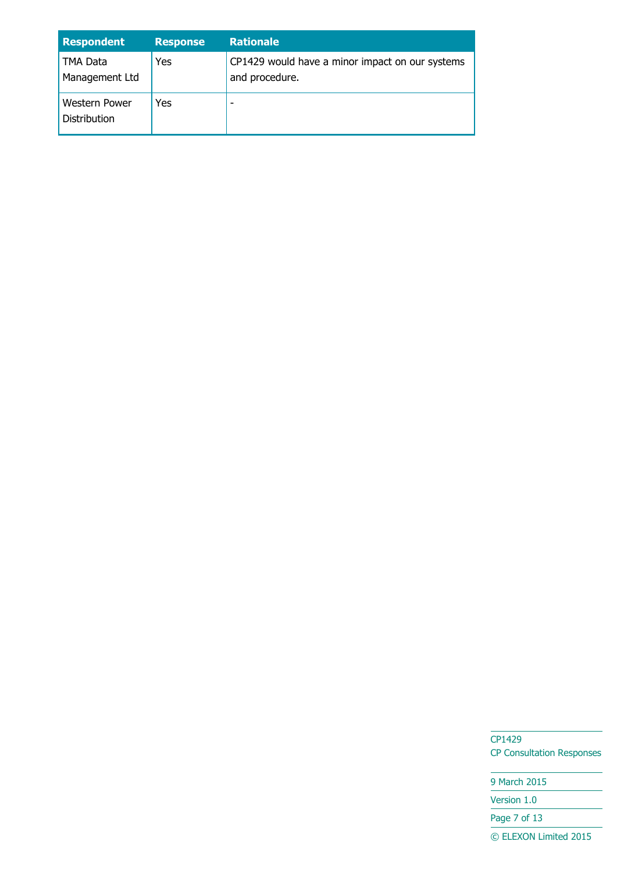| <b>Respondent</b>                    | <b>Response</b> | <b>Rationale</b>                                                  |
|--------------------------------------|-----------------|-------------------------------------------------------------------|
| TMA Data<br>Management Ltd           | Yes             | CP1429 would have a minor impact on our systems<br>and procedure. |
| <b>Western Power</b><br>Distribution | Yes             |                                                                   |

9 March 2015 Version 1.0

Page 7 of 13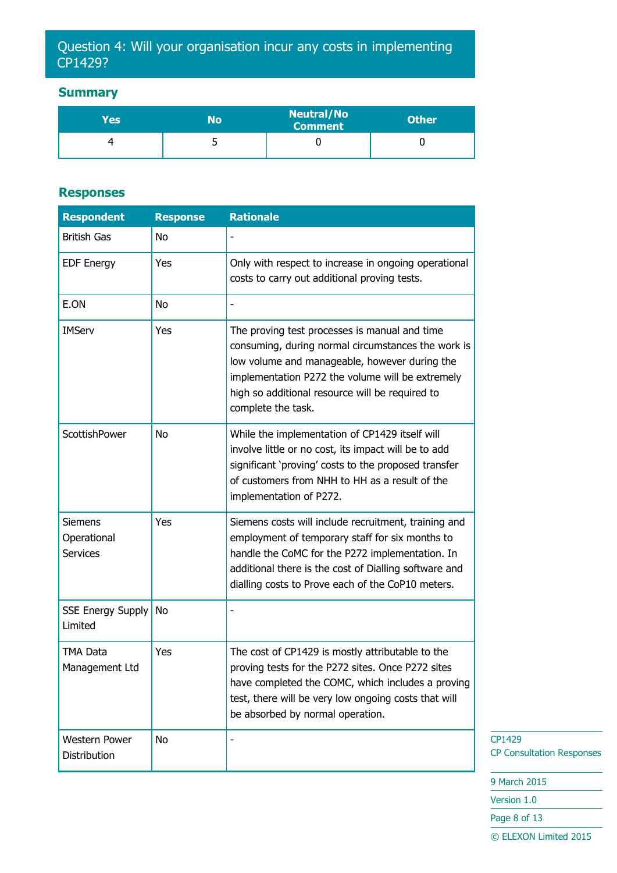## Question 4: Will your organisation incur any costs in implementing CP1429?

#### **Summary**

| Yes | No | <b>Neutral/No</b><br>Comment | <b>Other</b> |
|-----|----|------------------------------|--------------|
|     |    |                              |              |

#### **Responses**

| <b>Respondent</b>                                | <b>Response</b> | <b>Rationale</b>                                                                                                                                                                                                                                                                  |
|--------------------------------------------------|-----------------|-----------------------------------------------------------------------------------------------------------------------------------------------------------------------------------------------------------------------------------------------------------------------------------|
| <b>British Gas</b>                               | No              |                                                                                                                                                                                                                                                                                   |
| <b>EDF Energy</b>                                | Yes             | Only with respect to increase in ongoing operational<br>costs to carry out additional proving tests.                                                                                                                                                                              |
| E.ON                                             | No              |                                                                                                                                                                                                                                                                                   |
| <b>IMServ</b>                                    | Yes             | The proving test processes is manual and time<br>consuming, during normal circumstances the work is<br>low volume and manageable, however during the<br>implementation P272 the volume will be extremely<br>high so additional resource will be required to<br>complete the task. |
| ScottishPower                                    | No              | While the implementation of CP1429 itself will<br>involve little or no cost, its impact will be to add<br>significant 'proving' costs to the proposed transfer<br>of customers from NHH to HH as a result of the<br>implementation of P272.                                       |
| <b>Siemens</b><br>Operational<br><b>Services</b> | Yes             | Siemens costs will include recruitment, training and<br>employment of temporary staff for six months to<br>handle the CoMC for the P272 implementation. In<br>additional there is the cost of Dialling software and<br>dialling costs to Prove each of the CoP10 meters.          |
| <b>SSE Energy Supply</b><br>Limited              | No              |                                                                                                                                                                                                                                                                                   |
| TMA Data<br>Management Ltd                       | Yes             | The cost of CP1429 is mostly attributable to the<br>proving tests for the P272 sites. Once P272 sites<br>have completed the COMC, which includes a proving<br>test, there will be very low ongoing costs that will<br>be absorbed by normal operation.                            |
| <b>Western Power</b><br>Distribution             | No              |                                                                                                                                                                                                                                                                                   |

CP1429 CP Consultation Responses

9 March 2015

Version 1.0

Page 8 of 13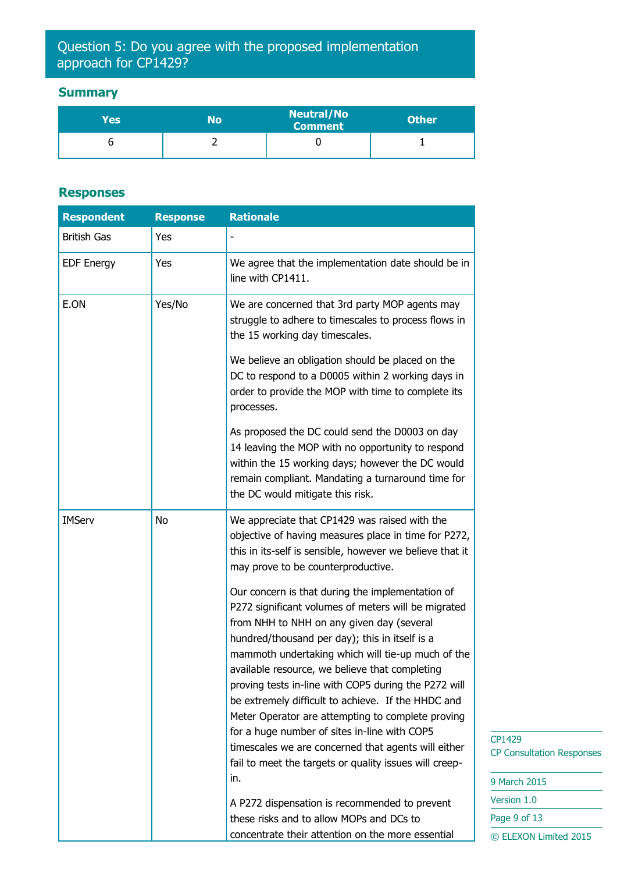## Question 5: Do you agree with the proposed implementation approach for CP1429?

## **Summary**

| Yes | No | <b>Neutral/No</b><br><b>Comment</b> | <b>Other</b> |
|-----|----|-------------------------------------|--------------|
|     |    |                                     |              |

## **Responses**

| <b>Respondent</b>  | <b>Response</b> | <b>Rationale</b>                                                                                                                                                                                                                                                                                                                                                                                                                                                                                                                                                                                                                                         |
|--------------------|-----------------|----------------------------------------------------------------------------------------------------------------------------------------------------------------------------------------------------------------------------------------------------------------------------------------------------------------------------------------------------------------------------------------------------------------------------------------------------------------------------------------------------------------------------------------------------------------------------------------------------------------------------------------------------------|
| <b>British Gas</b> | Yes             |                                                                                                                                                                                                                                                                                                                                                                                                                                                                                                                                                                                                                                                          |
| <b>EDF Energy</b>  | Yes             | We agree that the implementation date should be in<br>line with CP1411.                                                                                                                                                                                                                                                                                                                                                                                                                                                                                                                                                                                  |
| E.ON               | Yes/No          | We are concerned that 3rd party MOP agents may<br>struggle to adhere to timescales to process flows in<br>the 15 working day timescales.                                                                                                                                                                                                                                                                                                                                                                                                                                                                                                                 |
|                    |                 | We believe an obligation should be placed on the<br>DC to respond to a D0005 within 2 working days in<br>order to provide the MOP with time to complete its<br>processes.                                                                                                                                                                                                                                                                                                                                                                                                                                                                                |
|                    |                 | As proposed the DC could send the D0003 on day<br>14 leaving the MOP with no opportunity to respond<br>within the 15 working days; however the DC would<br>remain compliant. Mandating a turnaround time for<br>the DC would mitigate this risk.                                                                                                                                                                                                                                                                                                                                                                                                         |
| <b>IMServ</b>      | No              | We appreciate that CP1429 was raised with the<br>objective of having measures place in time for P272,<br>this in its-self is sensible, however we believe that it<br>may prove to be counterproductive.                                                                                                                                                                                                                                                                                                                                                                                                                                                  |
|                    |                 | Our concern is that during the implementation of<br>P272 significant volumes of meters will be migrated<br>from NHH to NHH on any given day (several<br>hundred/thousand per day); this in itself is a<br>mammoth undertaking which will tie-up much of the<br>available resource, we believe that completing<br>proving tests in-line with COP5 during the P272 will<br>be extremely difficult to achieve. If the HHDC and<br>Meter Operator are attempting to complete proving<br>for a huge number of sites in-line with COP5<br>timescales we are concerned that agents will either<br>fail to meet the targets or quality issues will creep-<br>in. |
|                    |                 | A P272 dispensation is recommended to prevent<br>these risks and to allow MOPs and DCs to<br>concentrate their attention on the more essential                                                                                                                                                                                                                                                                                                                                                                                                                                                                                                           |

 $1429$ **Consultation Responses** 

| 9 March 2015          |  |  |
|-----------------------|--|--|
| Version 1.0           |  |  |
| Page 9 of 13          |  |  |
| © ELEXON Limited 2015 |  |  |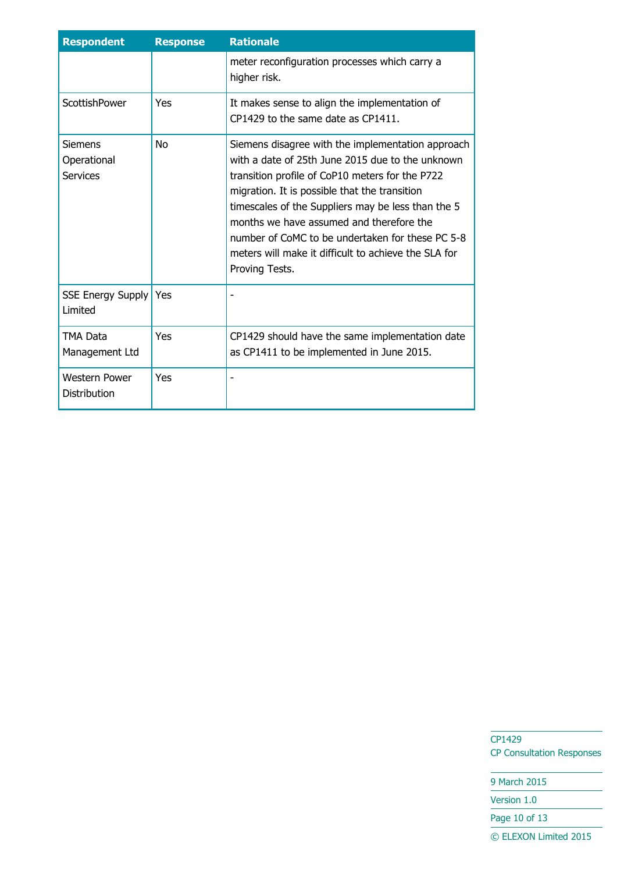| <b>Respondent</b>                           | <b>Response</b> | <b>Rationale</b>                                                                                                                                                                                                                                                                                                                                                                                                                          |
|---------------------------------------------|-----------------|-------------------------------------------------------------------------------------------------------------------------------------------------------------------------------------------------------------------------------------------------------------------------------------------------------------------------------------------------------------------------------------------------------------------------------------------|
|                                             |                 | meter reconfiguration processes which carry a<br>higher risk.                                                                                                                                                                                                                                                                                                                                                                             |
| ScottishPower                               | <b>Yes</b>      | It makes sense to align the implementation of<br>CP1429 to the same date as CP1411.                                                                                                                                                                                                                                                                                                                                                       |
| <b>Siemens</b><br>Operational<br>Services   | No              | Siemens disagree with the implementation approach<br>with a date of 25th June 2015 due to the unknown<br>transition profile of CoP10 meters for the P722<br>migration. It is possible that the transition<br>timescales of the Suppliers may be less than the 5<br>months we have assumed and therefore the<br>number of CoMC to be undertaken for these PC 5-8<br>meters will make it difficult to achieve the SLA for<br>Proving Tests. |
| <b>SSE Energy Supply</b><br>Limited         | Yes             |                                                                                                                                                                                                                                                                                                                                                                                                                                           |
| <b>TMA Data</b><br>Management Ltd           | Yes             | CP1429 should have the same implementation date<br>as CP1411 to be implemented in June 2015.                                                                                                                                                                                                                                                                                                                                              |
| <b>Western Power</b><br><b>Distribution</b> | Yes             |                                                                                                                                                                                                                                                                                                                                                                                                                                           |

9 March 2015 Version 1.0

Page 10 of 13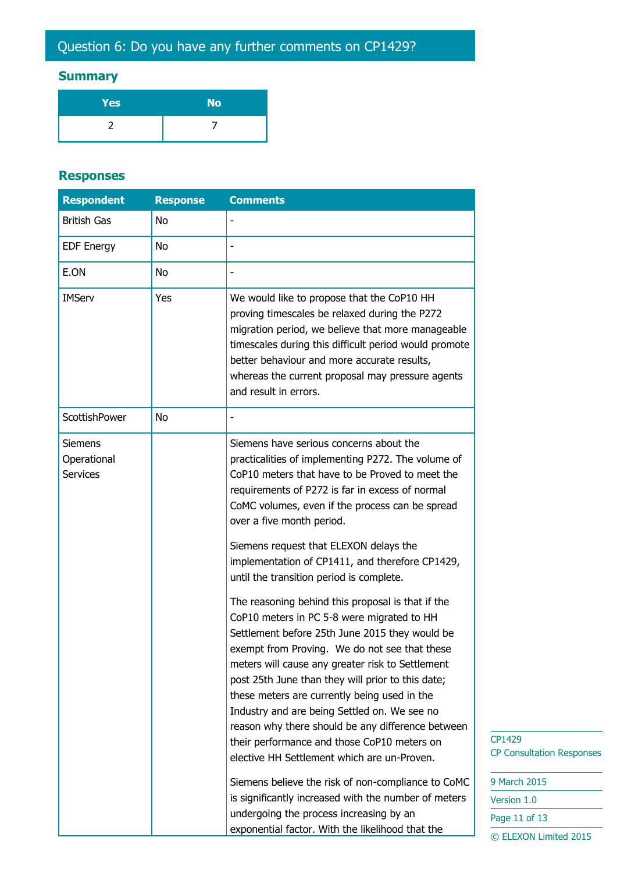# Question 6: Do you have any further comments on CP1429?

#### **Summary**

| Yes | <b>No</b> |
|-----|-----------|
|     |           |

#### **Responses**

| <b>Respondent</b>                                | <b>Response</b> | <b>Comments</b>                                                                                                                                                                                                                                                                                                                                                                                                                                                                                                                                                |
|--------------------------------------------------|-----------------|----------------------------------------------------------------------------------------------------------------------------------------------------------------------------------------------------------------------------------------------------------------------------------------------------------------------------------------------------------------------------------------------------------------------------------------------------------------------------------------------------------------------------------------------------------------|
| <b>British Gas</b>                               | No              |                                                                                                                                                                                                                                                                                                                                                                                                                                                                                                                                                                |
| <b>EDF Energy</b>                                | No              |                                                                                                                                                                                                                                                                                                                                                                                                                                                                                                                                                                |
| E.ON                                             | No              |                                                                                                                                                                                                                                                                                                                                                                                                                                                                                                                                                                |
| <b>IMServ</b>                                    | Yes             | We would like to propose that the CoP10 HH<br>proving timescales be relaxed during the P272<br>migration period, we believe that more manageable<br>timescales during this difficult period would promote<br>better behaviour and more accurate results,<br>whereas the current proposal may pressure agents<br>and result in errors.                                                                                                                                                                                                                          |
| ScottishPower                                    | No              |                                                                                                                                                                                                                                                                                                                                                                                                                                                                                                                                                                |
| <b>Siemens</b><br>Operational<br><b>Services</b> |                 | Siemens have serious concerns about the<br>practicalities of implementing P272. The volume of<br>CoP10 meters that have to be Proved to meet the<br>requirements of P272 is far in excess of normal<br>CoMC volumes, even if the process can be spread<br>over a five month period.                                                                                                                                                                                                                                                                            |
|                                                  |                 | Siemens request that ELEXON delays the<br>implementation of CP1411, and therefore CP1429,<br>until the transition period is complete.                                                                                                                                                                                                                                                                                                                                                                                                                          |
|                                                  |                 | The reasoning behind this proposal is that if the<br>CoP10 meters in PC 5-8 were migrated to HH<br>Settlement before 25th June 2015 they would be<br>exempt from Proving. We do not see that these<br>meters will cause any greater risk to Settlement<br>post 25th June than they will prior to this date;<br>these meters are currently being used in the<br>Industry and are being Settled on. We see no<br>reason why there should be any difference between<br>their performance and those CoP10 meters on<br>elective HH Settlement which are un-Proven. |
|                                                  |                 | Siemens believe the risk of non-compliance to CoMC<br>is significantly increased with the number of meters<br>undergoing the process increasing by an<br>exponential factor. With the likelihood that the                                                                                                                                                                                                                                                                                                                                                      |

129 Consultation Responses

arch  $2015$  $ion 1.0$ 11 of 13 © ELEXON Limited 2015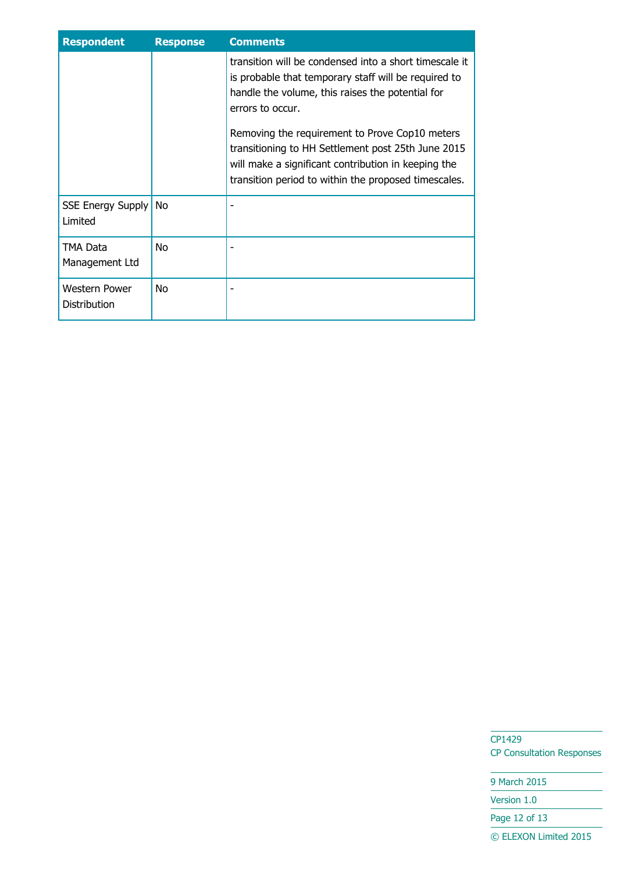| <b>Respondent</b>                    | <b>Response</b> | <b>Comments</b>                                                                                                                                                                                                     |
|--------------------------------------|-----------------|---------------------------------------------------------------------------------------------------------------------------------------------------------------------------------------------------------------------|
|                                      |                 | transition will be condensed into a short timescale it<br>is probable that temporary staff will be required to<br>handle the volume, this raises the potential for<br>errors to occur.                              |
|                                      |                 | Removing the requirement to Prove Cop10 meters<br>transitioning to HH Settlement post 25th June 2015<br>will make a significant contribution in keeping the<br>transition period to within the proposed timescales. |
| <b>SSE Energy Supply</b><br>Limited  | No.             |                                                                                                                                                                                                                     |
| TMA Data<br>Management Ltd           | No.             |                                                                                                                                                                                                                     |
| <b>Western Power</b><br>Distribution | No.             |                                                                                                                                                                                                                     |

9 March 2015

Version 1.0

Page 12 of 13